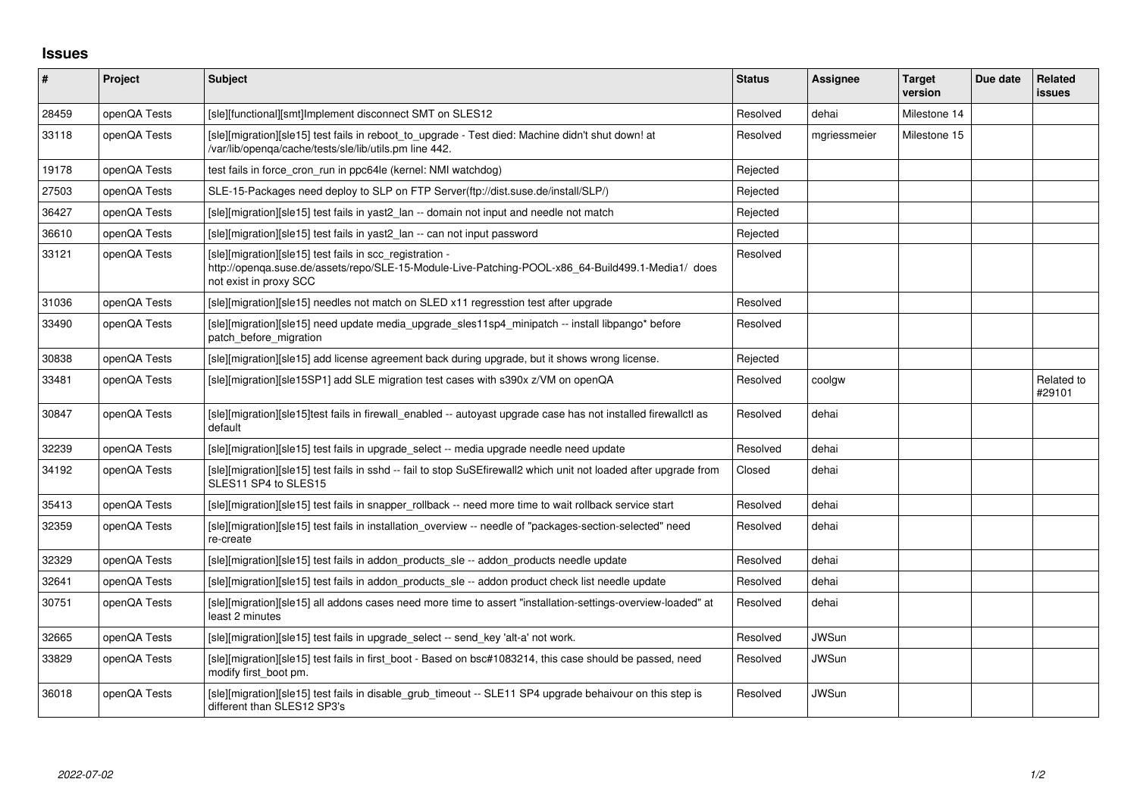## **Issues**

| $\vert$ # | Project      | <b>Subject</b>                                                                                                                                                                          | <b>Status</b> | Assignee     | <b>Target</b><br>version | Due date | Related<br><b>issues</b> |
|-----------|--------------|-----------------------------------------------------------------------------------------------------------------------------------------------------------------------------------------|---------------|--------------|--------------------------|----------|--------------------------|
| 28459     | openQA Tests | [sle][functional][smt]Implement disconnect SMT on SLES12                                                                                                                                | Resolved      | dehai        | Milestone 14             |          |                          |
| 33118     | openQA Tests | [sle][migration][sle15] test fails in reboot_to_upgrade - Test died: Machine didn't shut down! at<br>/var/lib/openga/cache/tests/sle/lib/utils.pm line 442.                             | Resolved      | mgriessmeier | Milestone 15             |          |                          |
| 19178     | openQA Tests | test fails in force_cron_run in ppc64le (kernel: NMI watchdog)                                                                                                                          | Rejected      |              |                          |          |                          |
| 27503     | openQA Tests | SLE-15-Packages need deploy to SLP on FTP Server(ftp://dist.suse.de/install/SLP/)                                                                                                       | Rejected      |              |                          |          |                          |
| 36427     | openQA Tests | [sle][migration][sle15] test fails in yast2_lan -- domain not input and needle not match                                                                                                | Rejected      |              |                          |          |                          |
| 36610     | openQA Tests | [sle][migration][sle15] test fails in yast2_lan -- can not input password                                                                                                               | Rejected      |              |                          |          |                          |
| 33121     | openQA Tests | [sle][migration][sle15] test fails in scc_registration -<br>http://openqa.suse.de/assets/repo/SLE-15-Module-Live-Patching-POOL-x86_64-Build499.1-Media1/ does<br>not exist in proxy SCC | Resolved      |              |                          |          |                          |
| 31036     | openQA Tests | [sle][migration][sle15] needles not match on SLED x11 regresstion test after upgrade                                                                                                    | Resolved      |              |                          |          |                          |
| 33490     | openQA Tests | [sle][migration][sle15] need update media_upgrade_sles11sp4_minipatch -- install libpango* before<br>patch_before_migration                                                             | Resolved      |              |                          |          |                          |
| 30838     | openQA Tests | [sle][migration][sle15] add license agreement back during upgrade, but it shows wrong license.                                                                                          | Rejected      |              |                          |          |                          |
| 33481     | openQA Tests | [sle][migration][sle15SP1] add SLE migration test cases with s390x z/VM on openQA                                                                                                       | Resolved      | coolgw       |                          |          | Related to<br>#29101     |
| 30847     | openQA Tests | [sle][migration][sle15]test fails in firewall_enabled -- autoyast upgrade case has not installed firewallctl as<br>default                                                              | Resolved      | dehai        |                          |          |                          |
| 32239     | openQA Tests | [sle][migration][sle15] test fails in upgrade_select -- media upgrade needle need update                                                                                                | Resolved      | dehai        |                          |          |                          |
| 34192     | openQA Tests | [sle][migration][sle15] test fails in sshd -- fail to stop SuSEfirewall2 which unit not loaded after upgrade from<br>SLES11 SP4 to SLES15                                               | Closed        | dehai        |                          |          |                          |
| 35413     | openQA Tests | [sle][migration][sle15] test fails in snapper_rollback -- need more time to wait rollback service start                                                                                 | Resolved      | dehai        |                          |          |                          |
| 32359     | openQA Tests | [sle][migration][sle15] test fails in installation_overview -- needle of "packages-section-selected" need<br>re-create                                                                  | Resolved      | dehai        |                          |          |                          |
| 32329     | openQA Tests | [sle][migration][sle15] test fails in addon_products_sle -- addon_products needle update                                                                                                | Resolved      | dehai        |                          |          |                          |
| 32641     | openQA Tests | [sle][migration][sle15] test fails in addon products sle -- addon product check list needle update                                                                                      | Resolved      | dehai        |                          |          |                          |
| 30751     | openQA Tests | [sle][migration][sle15] all addons cases need more time to assert "installation-settings-overview-loaded" at<br>least 2 minutes                                                         | Resolved      | dehai        |                          |          |                          |
| 32665     | openQA Tests | [sle][migration][sle15] test fails in upgrade_select -- send_key 'alt-a' not work.                                                                                                      | Resolved      | <b>JWSun</b> |                          |          |                          |
| 33829     | openQA Tests | [sle][migration][sle15] test fails in first_boot - Based on bsc#1083214, this case should be passed, need<br>modify first_boot pm.                                                      | Resolved      | JWSun        |                          |          |                          |
| 36018     | openQA Tests | [sle][migration][sle15] test fails in disable_grub_timeout -- SLE11 SP4 upgrade behaivour on this step is<br>different than SLES12 SP3's                                                | Resolved      | <b>JWSun</b> |                          |          |                          |